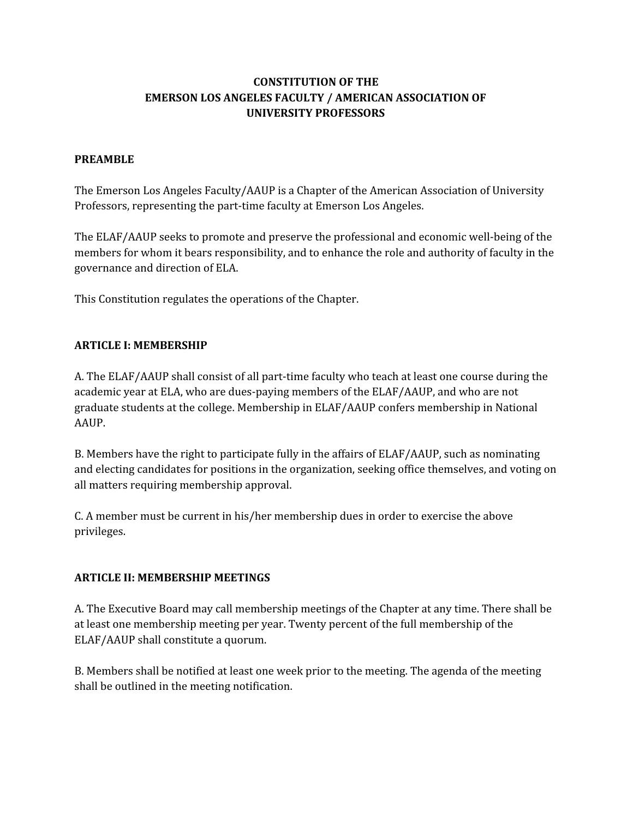# **CONSTITUTION OF THE EMERSON LOS ANGELES FACULTY / AMERICAN ASSOCIATION OF UNIVERSITY PROFESSORS**

#### **PREAMBLE**

The Emerson Los Angeles Faculty/AAUP is a Chapter of the American Association of University Professors, representing the part-time faculty at Emerson Los Angeles.

The ELAF/AAUP seeks to promote and preserve the professional and economic well-being of the members for whom it bears responsibility, and to enhance the role and authority of faculty in the governance and direction of ELA.

This Constitution regulates the operations of the Chapter.

#### **ARTICLE I: MEMBERSHIP**

A. The ELAF/AAUP shall consist of all part-time faculty who teach at least one course during the academic year at ELA, who are dues-paying members of the ELAF/AAUP, and who are not graduate students at the college. Membership in ELAF/AAUP confers membership in National AAUP.

B. Members have the right to participate fully in the affairs of ELAF/AAUP, such as nominating and electing candidates for positions in the organization, seeking office themselves, and voting on all matters requiring membership approval.

C. A member must be current in his/her membership dues in order to exercise the above privileges.

#### **ARTICLE II: MEMBERSHIP MEETINGS**

A. The Executive Board may call membership meetings of the Chapter at any time. There shall be at least one membership meeting per year. Twenty percent of the full membership of the ELAF/AAUP shall constitute a quorum.

B. Members shall be notified at least one week prior to the meeting. The agenda of the meeting shall be outlined in the meeting notification.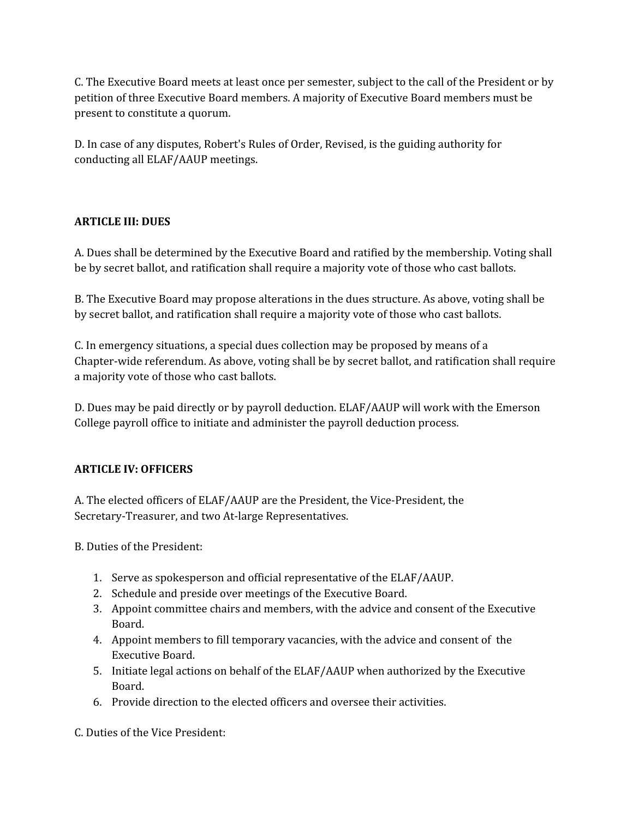C. The Executive Board meets at least once per semester, subject to the call of the President or by petition of three Executive Board members. A majority of Executive Board members must be present to constitute a quorum.

D. In case of any disputes, Robert's Rules of Order, Revised, is the guiding authority for conducting all ELAF/AAUP meetings.

# **ARTICLE III: DUES**

A. Dues shall be determined by the Executive Board and ratified by the membership. Voting shall be by secret ballot, and ratification shall require a majority vote of those who cast ballots.

B. The Executive Board may propose alterations in the dues structure. As above, voting shall be by secret ballot, and ratification shall require a majority vote of those who cast ballots.

C. In emergency situations, a special dues collection may be proposed by means of a Chapter-wide referendum. As above, voting shall be by secret ballot, and ratification shall require a majority vote of those who cast ballots.

D. Dues may be paid directly or by payroll deduction. ELAF/AAUP will work with the Emerson College payroll office to initiate and administer the payroll deduction process.

## **ARTICLE IV: OFFICERS**

A. The elected officers of ELAF/AAUP are the President, the Vice-President, the Secretary-Treasurer, and two At-large Representatives.

B. Duties of the President:

- 1. Serve as spokesperson and official representative of the ELAF/AAUP.
- 2. Schedule and preside over meetings of the Executive Board.
- 3. Appoint committee chairs and members, with the advice and consent of the Executive Board.
- 4. Appoint members to fill temporary vacancies, with the advice and consent of the Executive Board.
- 5. Initiate legal actions on behalf of the ELAF/AAUP when authorized by the Executive Board.
- 6. Provide direction to the elected officers and oversee their activities.

C. Duties of the Vice President: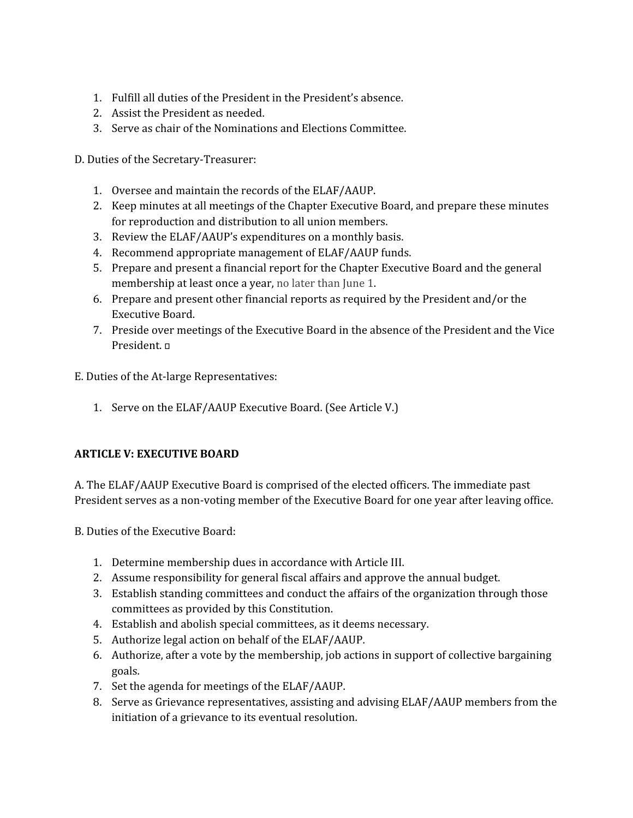- 1. Fulfill all duties of the President in the President's absence.
- 2. Assist the President as needed.
- 3. Serve as chair of the Nominations and Elections Committee.

D. Duties of the Secretary-Treasurer:

- 1. Oversee and maintain the records of the ELAF/AAUP.
- 2. Keep minutes at all meetings of the Chapter Executive Board, and prepare these minutes for reproduction and distribution to all union members.
- 3. Review the ELAF/AAUP's expenditures on a monthly basis.
- 4. Recommend appropriate management of ELAF/AAUP funds.
- 5. Prepare and present a financial report for the Chapter Executive Board and the general membership at least once a year, no later than June 1.
- 6. Prepare and present other financial reports as required by the President and/or the Executive Board.
- 7. Preside over meetings of the Executive Board in the absence of the President and the Vice President.

E. Duties of the At-large Representatives:

1. Serve on the ELAF/AAUP Executive Board. (See Article V.)

## **ARTICLE V: EXECUTIVE BOARD**

A. The ELAF/AAUP Executive Board is comprised of the elected officers. The immediate past President serves as a non-voting member of the Executive Board for one year after leaving office.

B. Duties of the Executive Board:

- 1. Determine membership dues in accordance with Article III.
- 2. Assume responsibility for general fiscal affairs and approve the annual budget.
- 3. Establish standing committees and conduct the affairs of the organization through those committees as provided by this Constitution.
- 4. Establish and abolish special committees, as it deems necessary.
- 5. Authorize legal action on behalf of the ELAF/AAUP.
- 6. Authorize, after a vote by the membership, job actions in support of collective bargaining goals.
- 7. Set the agenda for meetings of the ELAF/AAUP.
- 8. Serve as Grievance representatives, assisting and advising ELAF/AAUP members from the initiation of a grievance to its eventual resolution.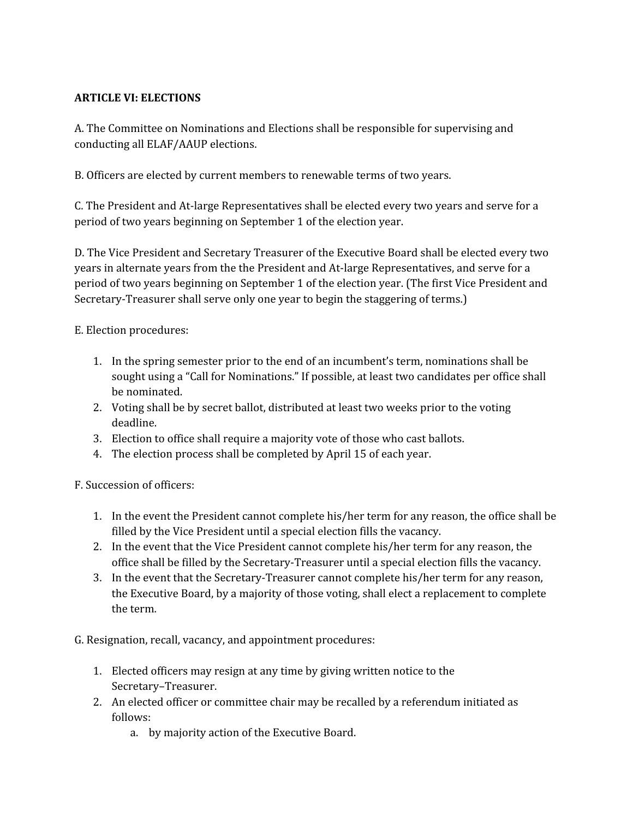### **ARTICLE VI: ELECTIONS**

A. The Committee on Nominations and Elections shall be responsible for supervising and conducting all ELAF/AAUP elections.

B. Officers are elected by current members to renewable terms of two years.

C. The President and Atlarge Representatives shall be elected every two years and serve for a period of two years beginning on September 1 of the election year.

D. The Vice President and Secretary Treasurer of the Executive Board shall be elected every two years in alternate years from the the President and Atlarge Representatives, and serve for a period of two years beginning on September 1 of the election year. (The first Vice President and Secretary-Treasurer shall serve only one year to begin the staggering of terms.)

E. Election procedures:

- 1. In the spring semester prior to the end of an incumbent's term, nominations shall be sought using a "Call for Nominations." If possible, at least two candidates per office shall be nominated.
- 2. Voting shall be by secret ballot, distributed at least two weeks prior to the voting deadline.
- 3. Election to office shall require a majority vote of those who cast ballots.
- 4. The election process shall be completed by April 15 of each year.

F. Succession of officers:

- 1. In the event the President cannot complete his/her term for any reason, the office shall be filled by the Vice President until a special election fills the vacancy.
- 2. In the event that the Vice President cannot complete his/her term for any reason, the office shall be filled by the Secretary-Treasurer until a special election fills the vacancy.
- 3. In the event that the Secretary-Treasurer cannot complete his/her term for any reason, the Executive Board, by a majority of those voting, shall elect a replacement to complete the term.

G. Resignation, recall, vacancy, and appointment procedures:

- 1. Elected officers may resign at any time by giving written notice to the Secretary–Treasurer.
- 2. An elected officer or committee chair may be recalled by a referendum initiated as follows:
	- a. by majority action of the Executive Board.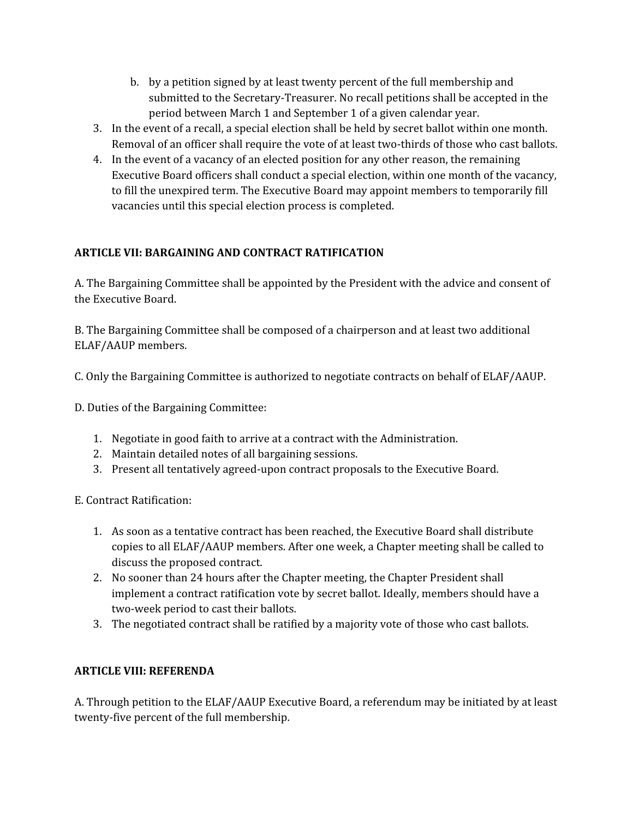- b. by a petition signed by at least twenty percent of the full membership and submitted to the Secretary-Treasurer. No recall petitions shall be accepted in the period between March 1 and September 1 of a given calendar year.
- 3. In the event of a recall, a special election shall be held by secret ballot within one month. Removal of an officer shall require the vote of at least two-thirds of those who cast ballots.
- 4. In the event of a vacancy of an elected position for any other reason, the remaining Executive Board officers shall conduct a special election, within one month of the vacancy, to fill the unexpired term. The Executive Board may appoint members to temporarily fill vacancies until this special election process is completed.

# **ARTICLE VII: BARGAINING AND CONTRACT RATIFICATION**

A. The Bargaining Committee shall be appointed by the President with the advice and consent of the Executive Board.

B. The Bargaining Committee shall be composed of a chairperson and at least two additional ELAF/AAUP members.

C. Only the Bargaining Committee is authorized to negotiate contracts on behalf of ELAF/AAUP.

D. Duties of the Bargaining Committee:

- 1. Negotiate in good faith to arrive at a contract with the Administration.
- 2. Maintain detailed notes of all bargaining sessions.
- 3. Present all tentatively agreed-upon contract proposals to the Executive Board.

E. Contract Ratification:

- 1. As soon as a tentative contract has been reached, the Executive Board shall distribute copies to all ELAF/AAUP members. After one week, a Chapter meeting shall be called to discuss the proposed contract.
- 2. No sooner than 24 hours after the Chapter meeting, the Chapter President shall implement a contract ratification vote by secret ballot. Ideally, members should have a two-week period to cast their ballots.
- 3. The negotiated contract shall be ratified by a majority vote of those who cast ballots.

## **ARTICLE VIII: REFERENDA**

A. Through petition to the ELAF/AAUP Executive Board, a referendum may be initiated by at least twenty-five percent of the full membership.